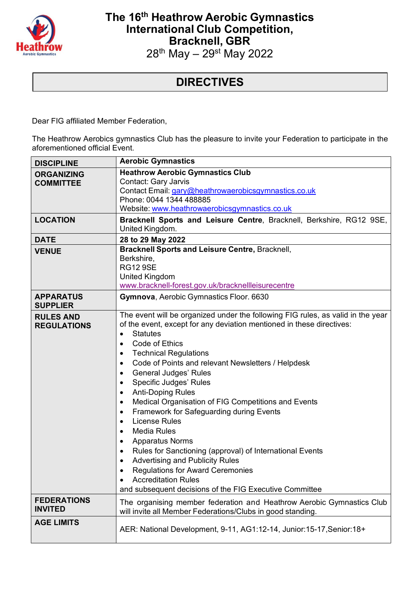

## **The 16th Heathrow Aerobic Gymnastics International Club Competition, Bracknell, GBR** 28<sup>th</sup> May – 29<sup>st</sup> May 2022

## **DIRECTIVES**

Dear FIG affiliated Member Federation,

The Heathrow Aerobics gymnastics Club has the pleasure to invite your Federation to participate in the aforementioned official Event.

| <b>DISCIPLINE</b>                      | <b>Aerobic Gymnastics</b>                                                                                                                                                                                                                                                                                                                                                                                                                                                                                                                                                                                                                                                                                                                                                                                                                                                                              |  |  |
|----------------------------------------|--------------------------------------------------------------------------------------------------------------------------------------------------------------------------------------------------------------------------------------------------------------------------------------------------------------------------------------------------------------------------------------------------------------------------------------------------------------------------------------------------------------------------------------------------------------------------------------------------------------------------------------------------------------------------------------------------------------------------------------------------------------------------------------------------------------------------------------------------------------------------------------------------------|--|--|
| <b>ORGANIZING</b><br><b>COMMITTEE</b>  | <b>Heathrow Aerobic Gymnastics Club</b><br><b>Contact: Gary Jarvis</b><br>Contact Email: gary@heathrowaerobicsgymnastics.co.uk<br>Phone: 0044 1344 488885<br>Website: www.heathrowaerobicsgymnastics.co.uk                                                                                                                                                                                                                                                                                                                                                                                                                                                                                                                                                                                                                                                                                             |  |  |
| <b>LOCATION</b>                        | Bracknell Sports and Leisure Centre, Bracknell, Berkshire, RG12 9SE,<br>United Kingdom.                                                                                                                                                                                                                                                                                                                                                                                                                                                                                                                                                                                                                                                                                                                                                                                                                |  |  |
| <b>DATE</b>                            | 28 to 29 May 2022                                                                                                                                                                                                                                                                                                                                                                                                                                                                                                                                                                                                                                                                                                                                                                                                                                                                                      |  |  |
| <b>VENUE</b>                           | Bracknell Sports and Leisure Centre, Bracknell,<br>Berkshire,<br><b>RG12 9SE</b><br><b>United Kingdom</b><br>www.bracknell-forest.gov.uk/bracknellleisurecentre                                                                                                                                                                                                                                                                                                                                                                                                                                                                                                                                                                                                                                                                                                                                        |  |  |
| <b>APPARATUS</b><br><b>SUPPLIER</b>    | Gymnova, Aerobic Gymnastics Floor. 6630                                                                                                                                                                                                                                                                                                                                                                                                                                                                                                                                                                                                                                                                                                                                                                                                                                                                |  |  |
| <b>RULES AND</b><br><b>REGULATIONS</b> | The event will be organized under the following FIG rules, as valid in the year<br>of the event, except for any deviation mentioned in these directives:<br><b>Statutes</b><br>$\bullet$<br>Code of Ethics<br><b>Technical Regulations</b><br>$\bullet$<br>Code of Points and relevant Newsletters / Helpdesk<br>$\bullet$<br><b>General Judges' Rules</b><br>Specific Judges' Rules<br>$\bullet$<br><b>Anti-Doping Rules</b><br>$\bullet$<br>Medical Organisation of FIG Competitions and Events<br>Framework for Safeguarding during Events<br>$\bullet$<br><b>License Rules</b><br>$\bullet$<br><b>Media Rules</b><br><b>Apparatus Norms</b><br>Rules for Sanctioning (approval) of International Events<br>$\bullet$<br><b>Advertising and Publicity Rules</b><br><b>Regulations for Award Ceremonies</b><br><b>Accreditation Rules</b><br>and subsequent decisions of the FIG Executive Committee |  |  |
| <b>FEDERATIONS</b><br><b>INVITED</b>   | The organising member federation and Heathrow Aerobic Gymnastics Club<br>will invite all Member Federations/Clubs in good standing.                                                                                                                                                                                                                                                                                                                                                                                                                                                                                                                                                                                                                                                                                                                                                                    |  |  |
| <b>AGE LIMITS</b>                      | AER: National Development, 9-11, AG1:12-14, Junior:15-17, Senior:18+                                                                                                                                                                                                                                                                                                                                                                                                                                                                                                                                                                                                                                                                                                                                                                                                                                   |  |  |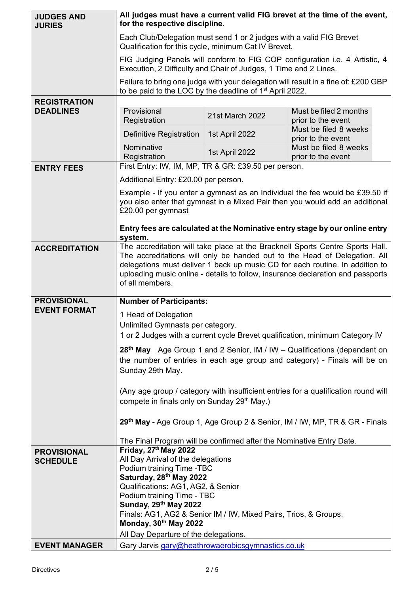| <b>JUDGES AND</b><br><b>JURIES</b>      | for the respective discipline.                                                                                                                                                                                                                                                                                                                   | All judges must have a current valid FIG brevet at the time of the event, |                                             |  |  |
|-----------------------------------------|--------------------------------------------------------------------------------------------------------------------------------------------------------------------------------------------------------------------------------------------------------------------------------------------------------------------------------------------------|---------------------------------------------------------------------------|---------------------------------------------|--|--|
|                                         | Each Club/Delegation must send 1 or 2 judges with a valid FIG Brevet<br>Qualification for this cycle, minimum Cat IV Brevet.                                                                                                                                                                                                                     |                                                                           |                                             |  |  |
|                                         | FIG Judging Panels will conform to FIG COP configuration i.e. 4 Artistic, 4<br>Execution, 2 Difficulty and Chair of Judges, 1 Time and 2 Lines.                                                                                                                                                                                                  |                                                                           |                                             |  |  |
|                                         | Failure to bring one judge with your delegation will result in a fine of: £200 GBP<br>to be paid to the LOC by the deadline of 1 <sup>st</sup> April 2022.                                                                                                                                                                                       |                                                                           |                                             |  |  |
| <b>REGISTRATION</b><br><b>DEADLINES</b> | Provisional                                                                                                                                                                                                                                                                                                                                      |                                                                           | Must be filed 2 months                      |  |  |
|                                         | Registration                                                                                                                                                                                                                                                                                                                                     | 21st March 2022                                                           | prior to the event                          |  |  |
|                                         | Definitive Registration                                                                                                                                                                                                                                                                                                                          | 1st April 2022                                                            | Must be filed 8 weeks<br>prior to the event |  |  |
|                                         | Nominative<br>Registration                                                                                                                                                                                                                                                                                                                       | 1st April 2022                                                            | Must be filed 8 weeks<br>prior to the event |  |  |
| <b>ENTRY FEES</b>                       | First Entry: IW, IM, MP, TR & GR: £39.50 per person.                                                                                                                                                                                                                                                                                             |                                                                           |                                             |  |  |
|                                         | Additional Entry: £20.00 per person.                                                                                                                                                                                                                                                                                                             |                                                                           |                                             |  |  |
|                                         | Example - If you enter a gymnast as an Individual the fee would be £39.50 if<br>you also enter that gymnast in a Mixed Pair then you would add an additional<br>£20.00 per gymnast                                                                                                                                                               |                                                                           |                                             |  |  |
|                                         | Entry fees are calculated at the Nominative entry stage by our online entry<br>system.                                                                                                                                                                                                                                                           |                                                                           |                                             |  |  |
| <b>ACCREDITATION</b>                    | The accreditation will take place at the Bracknell Sports Centre Sports Hall.<br>The accreditations will only be handed out to the Head of Delegation. All<br>delegations must deliver 1 back up music CD for each routine. In addition to<br>uploading music online - details to follow, insurance declaration and passports<br>of all members. |                                                                           |                                             |  |  |
| <b>PROVISIONAL</b>                      | <b>Number of Participants:</b>                                                                                                                                                                                                                                                                                                                   |                                                                           |                                             |  |  |
| <b>EVENT FORMAT</b>                     | 1 Head of Delegation                                                                                                                                                                                                                                                                                                                             |                                                                           |                                             |  |  |
|                                         | Unlimited Gymnasts per category.<br>1 or 2 Judges with a current cycle Brevet qualification, minimum Category IV                                                                                                                                                                                                                                 |                                                                           |                                             |  |  |
|                                         |                                                                                                                                                                                                                                                                                                                                                  |                                                                           |                                             |  |  |
|                                         | 28 <sup>th</sup> May Age Group 1 and 2 Senior, IM / IW – Qualifications (dependant on<br>the number of entries in each age group and category) - Finals will be on<br>Sunday 29th May.                                                                                                                                                           |                                                                           |                                             |  |  |
|                                         |                                                                                                                                                                                                                                                                                                                                                  |                                                                           |                                             |  |  |
|                                         | (Any age group / category with insufficient entries for a qualification round will<br>compete in finals only on Sunday 29 <sup>th</sup> May.)                                                                                                                                                                                                    |                                                                           |                                             |  |  |
|                                         | 29th May - Age Group 1, Age Group 2 & Senior, IM / IW, MP, TR & GR - Finals                                                                                                                                                                                                                                                                      |                                                                           |                                             |  |  |
|                                         | The Final Program will be confirmed after the Nominative Entry Date.                                                                                                                                                                                                                                                                             |                                                                           |                                             |  |  |
| <b>PROVISIONAL</b><br><b>SCHEDULE</b>   | Friday, 27th May 2022<br>All Day Arrival of the delegations                                                                                                                                                                                                                                                                                      |                                                                           |                                             |  |  |
|                                         | Podium training Time -TBC                                                                                                                                                                                                                                                                                                                        |                                                                           |                                             |  |  |
|                                         | Saturday, 28 <sup>th</sup> May 2022<br>Qualifications: AG1, AG2, & Senior<br>Podium training Time - TBC                                                                                                                                                                                                                                          |                                                                           |                                             |  |  |
|                                         |                                                                                                                                                                                                                                                                                                                                                  |                                                                           |                                             |  |  |
|                                         | Sunday, 29th May 2022<br>Finals: AG1, AG2 & Senior IM / IW, Mixed Pairs, Trios, & Groups.                                                                                                                                                                                                                                                        |                                                                           |                                             |  |  |
|                                         | Monday, 30th May 2022                                                                                                                                                                                                                                                                                                                            |                                                                           |                                             |  |  |
|                                         | All Day Departure of the delegations.                                                                                                                                                                                                                                                                                                            |                                                                           |                                             |  |  |
| <b>EVENT MANAGER</b>                    | Gary Jarvis gary@heathrowaerobicsgymnastics.co.uk                                                                                                                                                                                                                                                                                                |                                                                           |                                             |  |  |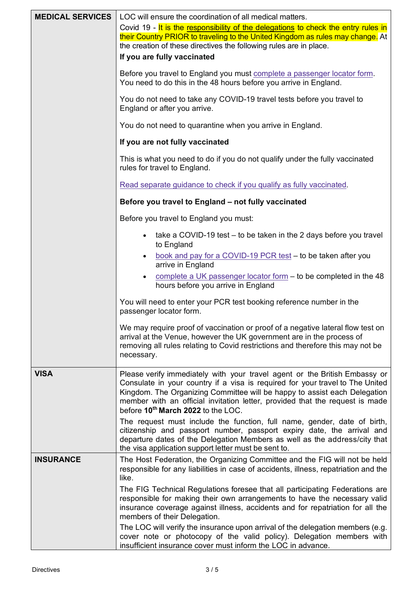| <b>MEDICAL SERVICES</b> | LOC will ensure the coordination of all medical matters.                                                                                                                                                                                                                                                                                                                   |
|-------------------------|----------------------------------------------------------------------------------------------------------------------------------------------------------------------------------------------------------------------------------------------------------------------------------------------------------------------------------------------------------------------------|
|                         | Covid 19 - It is the responsibility of the delegations to check the entry rules in<br>their Country PRIOR to traveling to the United Kingdom as rules may change. At<br>the creation of these directives the following rules are in place.                                                                                                                                 |
|                         | If you are fully vaccinated                                                                                                                                                                                                                                                                                                                                                |
|                         | Before you travel to England you must complete a passenger locator form.<br>You need to do this in the 48 hours before you arrive in England.                                                                                                                                                                                                                              |
|                         | You do not need to take any COVID-19 travel tests before you travel to<br>England or after you arrive.                                                                                                                                                                                                                                                                     |
|                         | You do not need to quarantine when you arrive in England.                                                                                                                                                                                                                                                                                                                  |
|                         | If you are not fully vaccinated                                                                                                                                                                                                                                                                                                                                            |
|                         | This is what you need to do if you do not qualify under the fully vaccinated<br>rules for travel to England.                                                                                                                                                                                                                                                               |
|                         | Read separate guidance to check if you qualify as fully vaccinated.                                                                                                                                                                                                                                                                                                        |
|                         | Before you travel to England - not fully vaccinated                                                                                                                                                                                                                                                                                                                        |
|                         | Before you travel to England you must:                                                                                                                                                                                                                                                                                                                                     |
|                         | take a COVID-19 test – to be taken in the 2 days before you travel<br>$\bullet$<br>to England                                                                                                                                                                                                                                                                              |
|                         | book and pay for a COVID-19 PCR test - to be taken after you<br>arrive in England                                                                                                                                                                                                                                                                                          |
|                         | complete a UK passenger locator form $-$ to be completed in the 48<br>٠<br>hours before you arrive in England                                                                                                                                                                                                                                                              |
|                         | You will need to enter your PCR test booking reference number in the<br>passenger locator form.                                                                                                                                                                                                                                                                            |
|                         | We may require proof of vaccination or proof of a negative lateral flow test on<br>arrival at the Venue, however the UK government are in the process of<br>removing all rules relating to Covid restrictions and therefore this may not be<br>necessary.                                                                                                                  |
| <b>VISA</b>             | Please verify immediately with your travel agent or the British Embassy or<br>Consulate in your country if a visa is required for your travel to The United<br>Kingdom. The Organizing Committee will be happy to assist each Delegation<br>member with an official invitation letter, provided that the request is made<br>before 10 <sup>th</sup> March 2022 to the LOC. |
|                         | The request must include the function, full name, gender, date of birth,<br>citizenship and passport number, passport expiry date, the arrival and<br>departure dates of the Delegation Members as well as the address/city that<br>the visa application support letter must be sent to.                                                                                   |
| <b>INSURANCE</b>        | The Host Federation, the Organizing Committee and the FIG will not be held<br>responsible for any liabilities in case of accidents, illness, repatriation and the<br>like.                                                                                                                                                                                                 |
|                         | The FIG Technical Regulations foresee that all participating Federations are<br>responsible for making their own arrangements to have the necessary valid<br>insurance coverage against illness, accidents and for repatriation for all the<br>members of their Delegation.                                                                                                |
|                         | The LOC will verify the insurance upon arrival of the delegation members (e.g.<br>cover note or photocopy of the valid policy). Delegation members with<br>insufficient insurance cover must inform the LOC in advance.                                                                                                                                                    |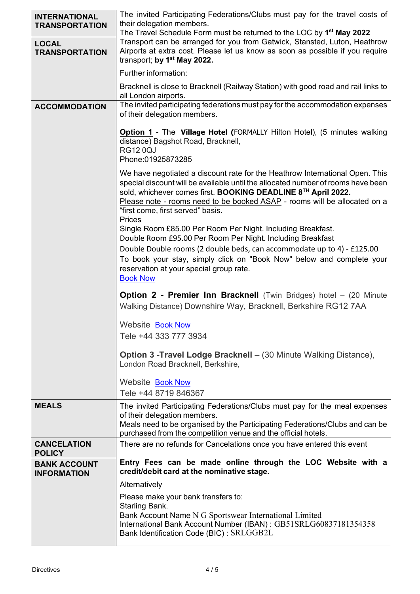| <b>INTERNATIONAL</b><br><b>TRANSPORTATION</b> | The invited Participating Federations/Clubs must pay for the travel costs of<br>their delegation members.<br>The Travel Schedule Form must be returned to the LOC by 1 <sup>st</sup> May 2022                                                                                                                                                                             |  |  |  |  |
|-----------------------------------------------|---------------------------------------------------------------------------------------------------------------------------------------------------------------------------------------------------------------------------------------------------------------------------------------------------------------------------------------------------------------------------|--|--|--|--|
| <b>LOCAL</b><br><b>TRANSPORTATION</b>         | Transport can be arranged for you from Gatwick, Stansted, Luton, Heathrow<br>Airports at extra cost. Please let us know as soon as possible if you require<br>transport; by 1 <sup>st</sup> May 2022.                                                                                                                                                                     |  |  |  |  |
|                                               | Further information:                                                                                                                                                                                                                                                                                                                                                      |  |  |  |  |
|                                               | Bracknell is close to Bracknell (Railway Station) with good road and rail links to<br>all London airports.                                                                                                                                                                                                                                                                |  |  |  |  |
| <b>ACCOMMODATION</b>                          | The invited participating federations must pay for the accommodation expenses<br>of their delegation members.                                                                                                                                                                                                                                                             |  |  |  |  |
|                                               | <b>Option 1</b> - The <b>Village Hotel (FORMALLY Hilton Hotel)</b> , (5 minutes walking<br>distance) Bagshot Road, Bracknell,<br><b>RG120QJ</b><br>Phone:01925873285                                                                                                                                                                                                      |  |  |  |  |
|                                               | We have negotiated a discount rate for the Heathrow International Open. This<br>special discount will be available until the allocated number of rooms have been<br>sold, whichever comes first. BOOKING DEADLINE 8 <sup>TH</sup> April 2022.<br>Please note - rooms need to be booked ASAP - rooms will be allocated on a<br>"first come, first served" basis.<br>Prices |  |  |  |  |
|                                               | Single Room £85.00 Per Room Per Night. Including Breakfast.<br>Double Room £95.00 Per Room Per Night. Including Breakfast<br>Double Double rooms (2 double beds, can accommodate up to 4) - £125.00<br>To book your stay, simply click on "Book Now" below and complete your<br>reservation at your special group rate.<br><b>Book Now</b>                                |  |  |  |  |
|                                               | <b>Option 2 - Premier Inn Bracknell</b> (Twin Bridges) hotel - (20 Minute<br>Walking Distance) Downshire Way, Bracknell, Berkshire RG12 7AA                                                                                                                                                                                                                               |  |  |  |  |
|                                               | Website <b>Book Now</b><br>Tele +44 333 777 3934                                                                                                                                                                                                                                                                                                                          |  |  |  |  |
|                                               | <b>Option 3 - Travel Lodge Bracknell</b> - (30 Minute Walking Distance),<br>London Road Bracknell, Berkshire,                                                                                                                                                                                                                                                             |  |  |  |  |
|                                               | Website <b>Book Now</b><br>Tele +44 8719 846367                                                                                                                                                                                                                                                                                                                           |  |  |  |  |
| <b>MEALS</b>                                  | The invited Participating Federations/Clubs must pay for the meal expenses<br>of their delegation members.<br>Meals need to be organised by the Participating Federations/Clubs and can be<br>purchased from the competition venue and the official hotels.                                                                                                               |  |  |  |  |
| <b>CANCELATION</b><br><b>POLICY</b>           | There are no refunds for Cancelations once you have entered this event                                                                                                                                                                                                                                                                                                    |  |  |  |  |
| <b>BANK ACCOUNT</b><br><b>INFORMATION</b>     | Entry Fees can be made online through the LOC Website with a<br>credit/debit card at the nominative stage.                                                                                                                                                                                                                                                                |  |  |  |  |
|                                               | Alternatively                                                                                                                                                                                                                                                                                                                                                             |  |  |  |  |
|                                               | Please make your bank transfers to:<br>Starling Bank.                                                                                                                                                                                                                                                                                                                     |  |  |  |  |
|                                               | Bank Account Name N G Sportswear International Limited<br>International Bank Account Number (IBAN): GB51SRLG60837181354358<br>Bank Identification Code (BIC): SRLGGB2L                                                                                                                                                                                                    |  |  |  |  |